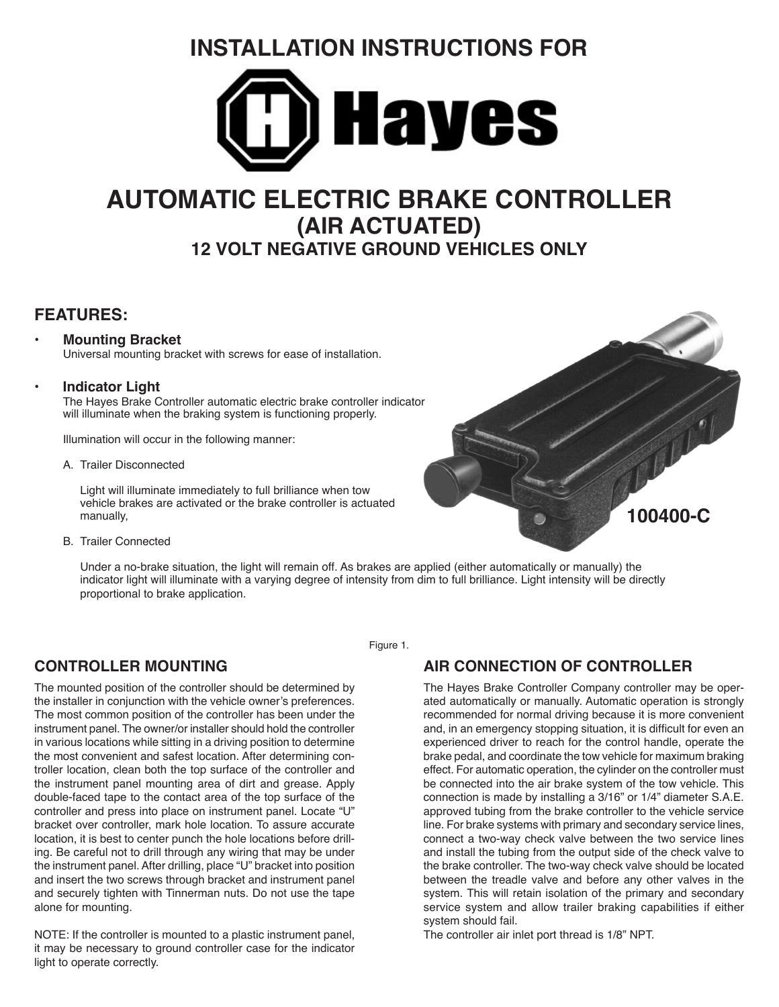# **INSTALLATION INSTRUCTIONS FOR**



# **AUTOMATIC ELECTRIC BRAKE CONTROLLER (AIR ACTUATED) 12 VOLT NEGATIVE GROUND VEHICLES ONLY**

# **FEATURES:**

#### • **Mounting Bracket**

Universal mounting bracket with screws for ease of installation.

#### **• Indicator Light**

The Hayes Brake Controller automatic electric brake controller indicator will illuminate when the braking system is functioning properly.

Illumination will occur in the following manner:

A. Trailer Disconnected

Light will illuminate immediately to full brilliance when tow vehicle brakes are activated or the brake controller is actuated manually,



B. Trailer Connected

Under a no-brake situation, the light will remain off. As brakes are applied (either automatically or manually) the indicator light will illuminate with a varying degree of intensity from dim to full brilliance. Light intensity will be directly proportional to brake application.

Figure 1.

# **CONTROLLER MOUNTING**

The mounted position of the controller should be determined by the installer in conjunction with the vehicle owner's preferences. The most common position of the controller has been under the instrument panel. The owner/or installer should hold the controller in various locations while sitting in a driving position to determine the most convenient and safest location. After determining controller location, clean both the top surface of the controller and the instrument panel mounting area of dirt and grease. Apply double-faced tape to the contact area of the top surface of the controller and press into place on instrument panel. Locate "U" bracket over controller, mark hole location. To assure accurate location, it is best to center punch the hole locations before drilling. Be careful not to drill through any wiring that may be under the instrument panel. After drilling, place "U" bracket into position and insert the two screws through bracket and instrument panel and securely tighten with Tinnerman nuts. Do not use the tape alone for mounting.

NOTE: If the controller is mounted to a plastic instrument panel, it may be necessary to ground controller case for the indicator light to operate correctly.

**AIR CONNECTION OF CONTROLLER**

The Hayes Brake Controller Company controller may be operated automatically or manually. Automatic operation is strongly recommended for normal driving because it is more convenient and, in an emergency stopping situation, it is difficult for even an experienced driver to reach for the control handle, operate the brake pedal, and coordinate the tow vehicle for maximum braking effect. For automatic operation, the cylinder on the controller must be connected into the air brake system of the tow vehicle. This connection is made by installing a 3/16" or 1/4" diameter S.A.E. approved tubing from the brake controller to the vehicle service line. For brake systems with primary and secondary service lines, connect a two-way check valve between the two service lines and install the tubing from the output side of the check valve to the brake controller. The two-way check valve should be located between the treadle valve and before any other valves in the system. This will retain isolation of the primary and secondary service system and allow trailer braking capabilities if either system should fail.

The controller air inlet port thread is 1/8" NPT.